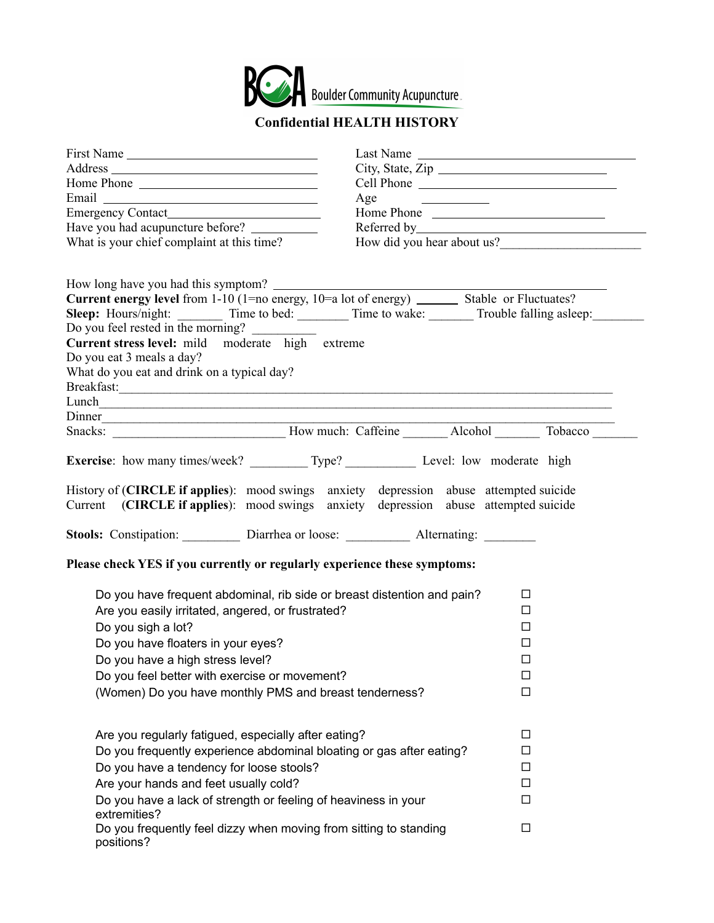

## **Confidential HEALTH HISTORY**

| First Name                                                                                                                             | Last Name                                                                                                                                                                     |  |
|----------------------------------------------------------------------------------------------------------------------------------------|-------------------------------------------------------------------------------------------------------------------------------------------------------------------------------|--|
|                                                                                                                                        |                                                                                                                                                                               |  |
|                                                                                                                                        |                                                                                                                                                                               |  |
|                                                                                                                                        | Age $\qquad \qquad$                                                                                                                                                           |  |
|                                                                                                                                        | Home Phone                                                                                                                                                                    |  |
|                                                                                                                                        |                                                                                                                                                                               |  |
| What is your chief complaint at this time?                                                                                             | How did you hear about us?                                                                                                                                                    |  |
| Do you feel rested in the morning?                                                                                                     | Sleep: Hours/night: Time to bed: Time to wake: Trouble falling asleep:                                                                                                        |  |
| Current stress level: mild moderate high extreme<br>Do you eat 3 meals a day?<br>What do you eat and drink on a typical day?<br>Dinner |                                                                                                                                                                               |  |
|                                                                                                                                        | Snacks: How much: Caffeine Alcohol Tobacco                                                                                                                                    |  |
|                                                                                                                                        |                                                                                                                                                                               |  |
| Exercise: how many times/week? ___________ Type? _________________ Level: low moderate high                                            |                                                                                                                                                                               |  |
|                                                                                                                                        | History of (CIRCLE if applies): mood swings anxiety depression abuse attempted suicide<br>Current (CIRCLE if applies): mood swings anxiety depression abuse attempted suicide |  |
|                                                                                                                                        |                                                                                                                                                                               |  |
| Please check YES if you currently or regularly experience these symptoms:                                                              |                                                                                                                                                                               |  |
| Do you have frequent abdominal, rib side or breast distention and pain?<br>□                                                           |                                                                                                                                                                               |  |
| Are you easily irritated, angered, or frustrated?                                                                                      | □                                                                                                                                                                             |  |
| Do you sigh a lot?                                                                                                                     | □                                                                                                                                                                             |  |
| Do you have floaters in your eyes?                                                                                                     | □                                                                                                                                                                             |  |
| Do you have a high stress level?                                                                                                       | □                                                                                                                                                                             |  |
| Do you feel better with exercise or movement?                                                                                          | □                                                                                                                                                                             |  |
| (Women) Do you have monthly PMS and breast tenderness?                                                                                 | $\Box$                                                                                                                                                                        |  |
|                                                                                                                                        |                                                                                                                                                                               |  |
| Are you regularly fatigued, especially after eating?                                                                                   | □                                                                                                                                                                             |  |
| Do you frequently experience abdominal bloating or gas after eating?<br>п                                                              |                                                                                                                                                                               |  |
| Do you have a tendency for loose stools?<br>П                                                                                          |                                                                                                                                                                               |  |
| Are your hands and feet usually cold?<br>□                                                                                             |                                                                                                                                                                               |  |
| Do you have a lack of strength or feeling of heaviness in your<br>extremities?                                                         | □                                                                                                                                                                             |  |
| Do you frequently feel dizzy when moving from sitting to standing<br>positions?                                                        | □                                                                                                                                                                             |  |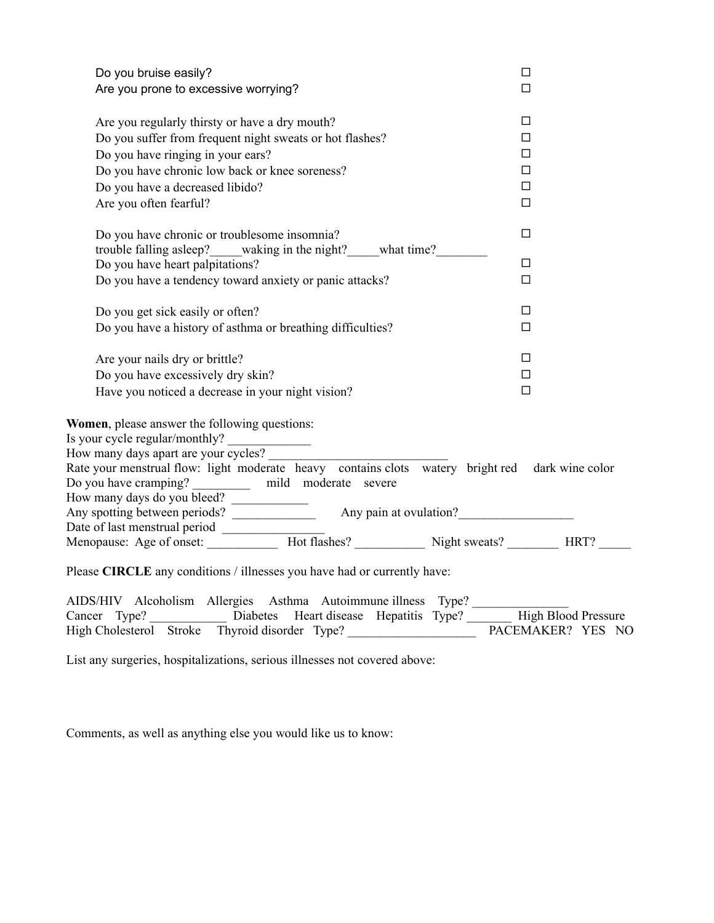| Do you bruise easily?<br>Are you prone to excessive worrying?                                                                                                                                                                        | □<br>$\Box$                                    |
|--------------------------------------------------------------------------------------------------------------------------------------------------------------------------------------------------------------------------------------|------------------------------------------------|
| Are you regularly thirsty or have a dry mouth?<br>Do you suffer from frequent night sweats or hot flashes?<br>Do you have ringing in your ears?<br>Do you have chronic low back or knee soreness?<br>Do you have a decreased libido? | $\Box$<br>$\Box$<br>$\Box$<br>$\Box$<br>$\Box$ |
| Are you often fearful?                                                                                                                                                                                                               | $\Box$                                         |
| Do you have chronic or troublesome insomnia?<br>trouble falling asleep? waking in the night? what time?                                                                                                                              | $\Box$                                         |
| Do you have heart palpitations?                                                                                                                                                                                                      | $\Box$                                         |
| Do you have a tendency toward anxiety or panic attacks?                                                                                                                                                                              | $\Box$                                         |
| Do you get sick easily or often?                                                                                                                                                                                                     | □                                              |
| Do you have a history of asthma or breathing difficulties?                                                                                                                                                                           | $\Box$                                         |
| Are your nails dry or brittle?                                                                                                                                                                                                       | $\Box$                                         |
| Do you have excessively dry skin?                                                                                                                                                                                                    | $\Box$                                         |
| Have you noticed a decrease in your night vision?                                                                                                                                                                                    | $\Box$                                         |
| <b>Women</b> , please answer the following questions:<br>How many days apart are your cycles?<br>Rate your menstrual flow: light moderate heavy contains clots watery bright red dark wine color                                     |                                                |
| Do you have cramping? ____________ mild moderate severe                                                                                                                                                                              |                                                |
|                                                                                                                                                                                                                                      |                                                |
|                                                                                                                                                                                                                                      |                                                |
|                                                                                                                                                                                                                                      |                                                |
| Please CIRCLE any conditions / illnesses you have had or currently have:                                                                                                                                                             |                                                |
| AIDS/HIV Alcoholism Allergies Asthma Autoimmune illness Type?<br>Cancer Type? Diabetes Heart disease Hepatitis Type? High Blood Pressure                                                                                             |                                                |

High Cholesterol Stroke Thyroid disorder Type? PACEMAKER? YES NO

List any surgeries, hospitalizations, serious illnesses not covered above:

Comments, as well as anything else you would like us to know: